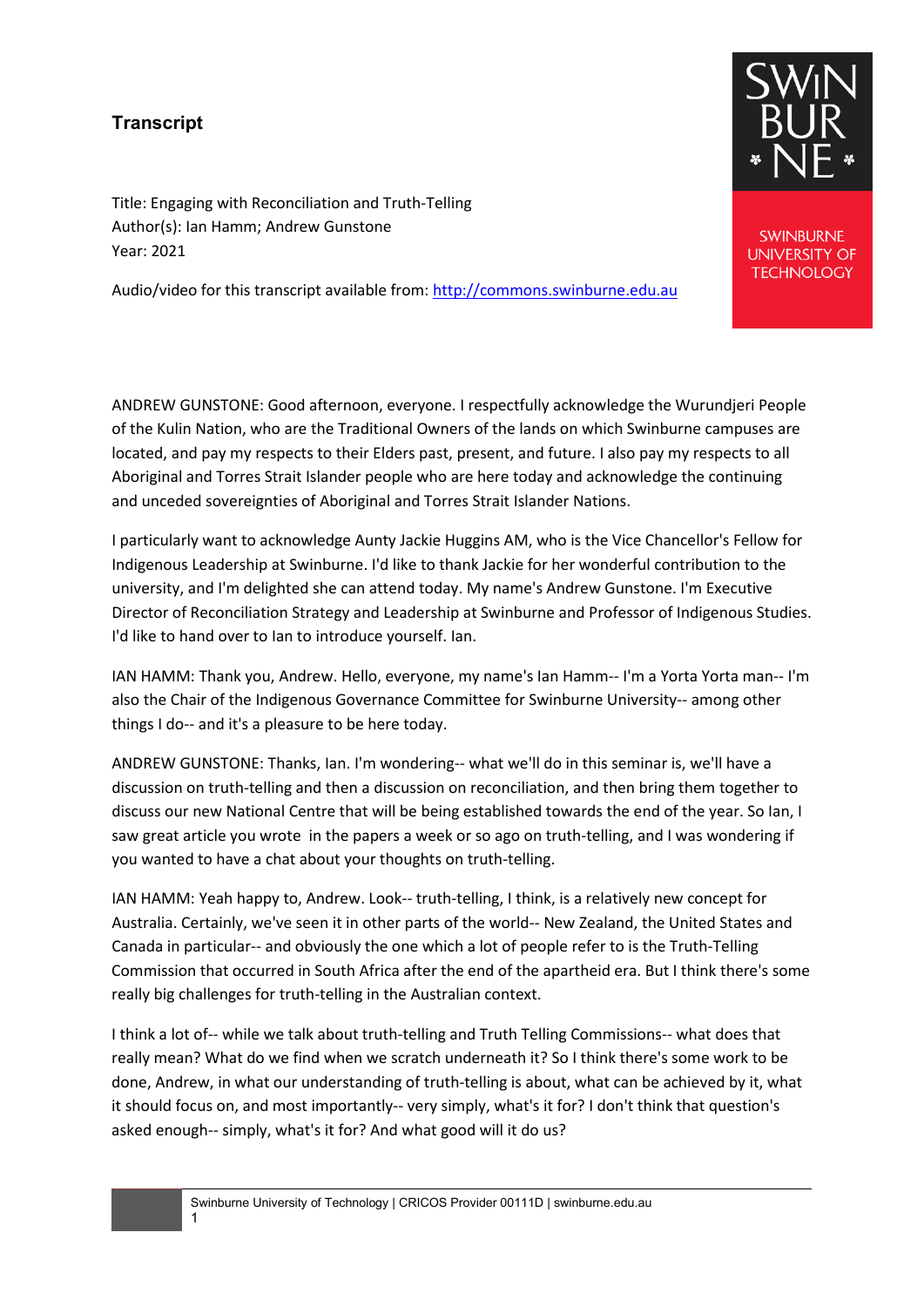## **Transcript**

Title: Engaging with Reconciliation and Truth-Telling Author(s): Ian Hamm; Andrew Gunstone Year: 2021

Audio/video for this transcript available from: [http://commons.swinburne.edu.au](http://commons.swinburne.edu.au/)

ANDREW GUNSTONE: Good afternoon, everyone. I respectfully acknowledge the Wurundjeri People of the Kulin Nation, who are the Traditional Owners of the lands on which Swinburne campuses are located, and pay my respects to their Elders past, present, and future. I also pay my respects to all Aboriginal and Torres Strait Islander people who are here today and acknowledge the continuing and unceded sovereignties of Aboriginal and Torres Strait Islander Nations.

I particularly want to acknowledge Aunty Jackie Huggins AM, who is the Vice Chancellor's Fellow for Indigenous Leadership at Swinburne. I'd like to thank Jackie for her wonderful contribution to the university, and I'm delighted she can attend today. My name's Andrew Gunstone. I'm Executive Director of Reconciliation Strategy and Leadership at Swinburne and Professor of Indigenous Studies. I'd like to hand over to Ian to introduce yourself. Ian.

IAN HAMM: Thank you, Andrew. Hello, everyone, my name's Ian Hamm-- I'm a Yorta Yorta man-- I'm also the Chair of the Indigenous Governance Committee for Swinburne University-- among other things I do-- and it's a pleasure to be here today.

ANDREW GUNSTONE: Thanks, Ian. I'm wondering-- what we'll do in this seminar is, we'll have a discussion on truth-telling and then a discussion on reconciliation, and then bring them together to discuss our new National Centre that will be being established towards the end of the year. So Ian, I saw great article you wrote in the papers a week or so ago on truth-telling, and I was wondering if you wanted to have a chat about your thoughts on truth-telling.

IAN HAMM: Yeah happy to, Andrew. Look-- truth-telling, I think, is a relatively new concept for Australia. Certainly, we've seen it in other parts of the world-- New Zealand, the United States and Canada in particular-- and obviously the one which a lot of people refer to is the Truth-Telling Commission that occurred in South Africa after the end of the apartheid era. But I think there's some really big challenges for truth-telling in the Australian context.

I think a lot of-- while we talk about truth-telling and Truth Telling Commissions-- what does that really mean? What do we find when we scratch underneath it? So I think there's some work to be done, Andrew, in what our understanding of truth-telling is about, what can be achieved by it, what it should focus on, and most importantly-- very simply, what's it for? I don't think that question's asked enough-- simply, what's it for? And what good will it do us?



**SWINBURNE UNIVERSITY OF TECHNOLOGY**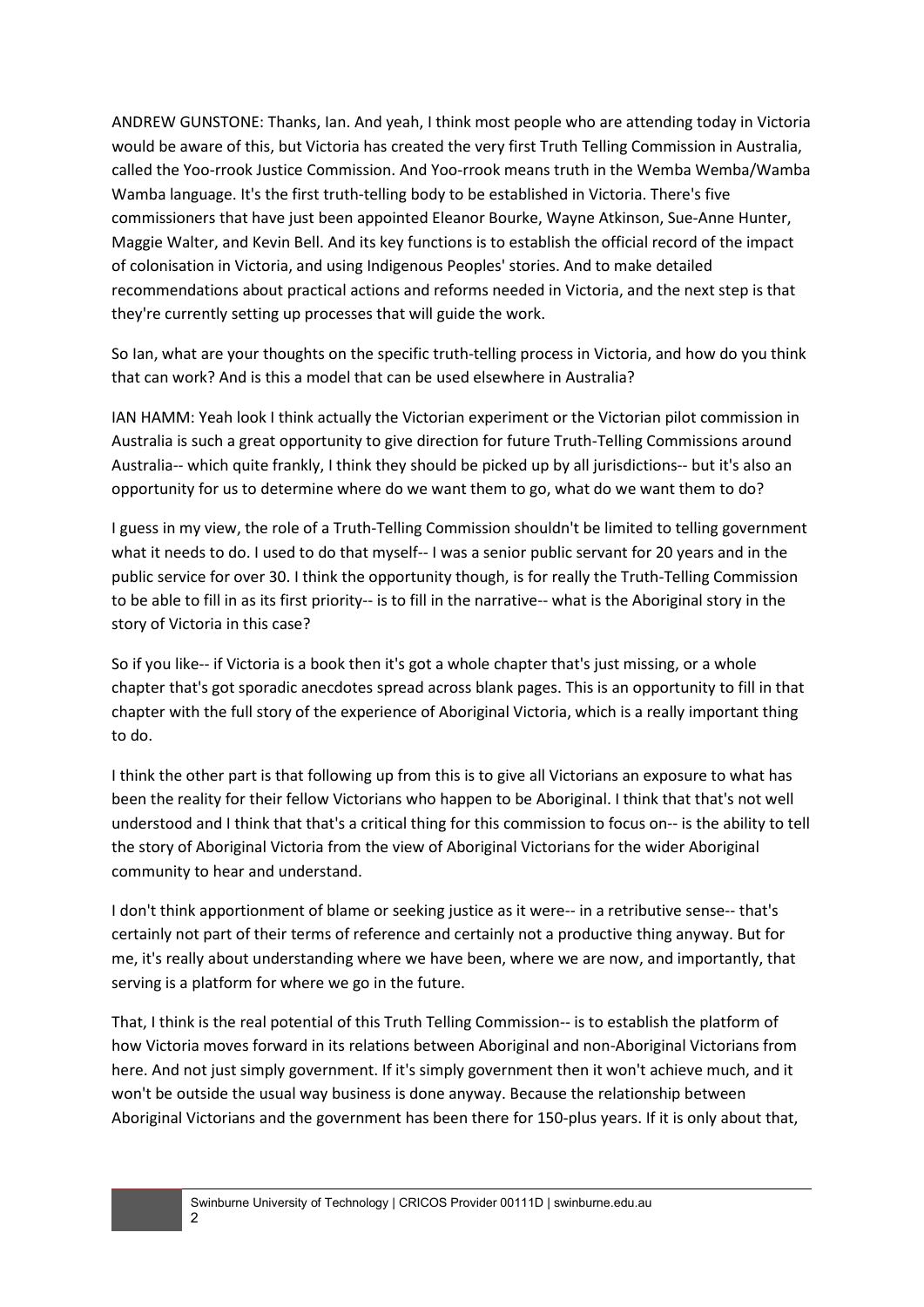ANDREW GUNSTONE: Thanks, Ian. And yeah, I think most people who are attending today in Victoria would be aware of this, but Victoria has created the very first Truth Telling Commission in Australia, called the Yoo-rrook Justice Commission. And Yoo-rrook means truth in the Wemba Wemba/Wamba Wamba language. It's the first truth-telling body to be established in Victoria. There's five commissioners that have just been appointed Eleanor Bourke, Wayne Atkinson, Sue-Anne Hunter, Maggie Walter, and Kevin Bell. And its key functions is to establish the official record of the impact of colonisation in Victoria, and using Indigenous Peoples' stories. And to make detailed recommendations about practical actions and reforms needed in Victoria, and the next step is that they're currently setting up processes that will guide the work.

So Ian, what are your thoughts on the specific truth-telling process in Victoria, and how do you think that can work? And is this a model that can be used elsewhere in Australia?

IAN HAMM: Yeah look I think actually the Victorian experiment or the Victorian pilot commission in Australia is such a great opportunity to give direction for future Truth-Telling Commissions around Australia-- which quite frankly, I think they should be picked up by all jurisdictions-- but it's also an opportunity for us to determine where do we want them to go, what do we want them to do?

I guess in my view, the role of a Truth-Telling Commission shouldn't be limited to telling government what it needs to do. I used to do that myself-- I was a senior public servant for 20 years and in the public service for over 30. I think the opportunity though, is for really the Truth-Telling Commission to be able to fill in as its first priority-- is to fill in the narrative-- what is the Aboriginal story in the story of Victoria in this case?

So if you like-- if Victoria is a book then it's got a whole chapter that's just missing, or a whole chapter that's got sporadic anecdotes spread across blank pages. This is an opportunity to fill in that chapter with the full story of the experience of Aboriginal Victoria, which is a really important thing to do.

I think the other part is that following up from this is to give all Victorians an exposure to what has been the reality for their fellow Victorians who happen to be Aboriginal. I think that that's not well understood and I think that that's a critical thing for this commission to focus on-- is the ability to tell the story of Aboriginal Victoria from the view of Aboriginal Victorians for the wider Aboriginal community to hear and understand.

I don't think apportionment of blame or seeking justice as it were-- in a retributive sense-- that's certainly not part of their terms of reference and certainly not a productive thing anyway. But for me, it's really about understanding where we have been, where we are now, and importantly, that serving is a platform for where we go in the future.

That, I think is the real potential of this Truth Telling Commission-- is to establish the platform of how Victoria moves forward in its relations between Aboriginal and non-Aboriginal Victorians from here. And not just simply government. If it's simply government then it won't achieve much, and it won't be outside the usual way business is done anyway. Because the relationship between Aboriginal Victorians and the government has been there for 150-plus years. If it is only about that,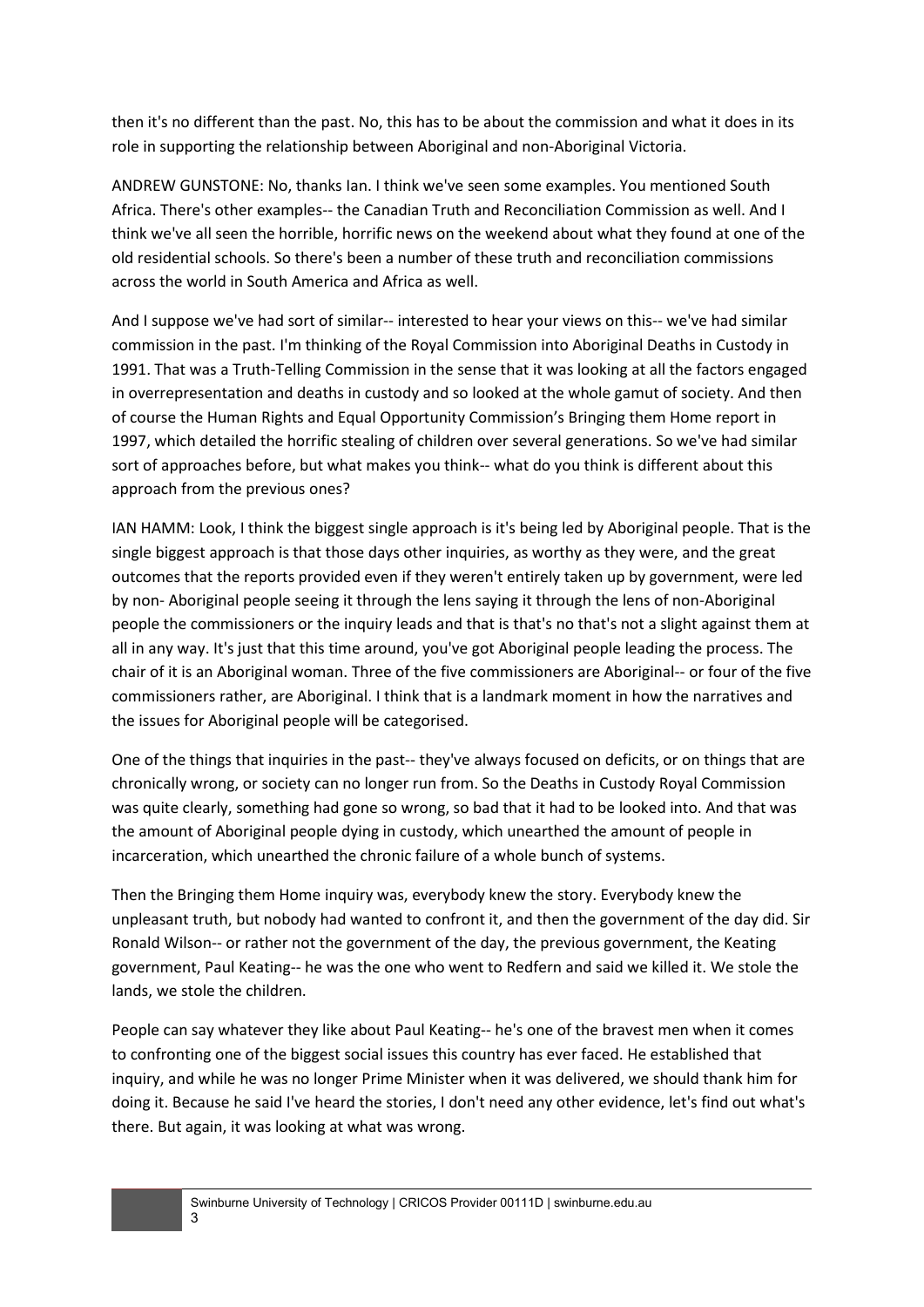then it's no different than the past. No, this has to be about the commission and what it does in its role in supporting the relationship between Aboriginal and non-Aboriginal Victoria.

ANDREW GUNSTONE: No, thanks Ian. I think we've seen some examples. You mentioned South Africa. There's other examples-- the Canadian Truth and Reconciliation Commission as well. And I think we've all seen the horrible, horrific news on the weekend about what they found at one of the old residential schools. So there's been a number of these truth and reconciliation commissions across the world in South America and Africa as well.

And I suppose we've had sort of similar-- interested to hear your views on this-- we've had similar commission in the past. I'm thinking of the Royal Commission into Aboriginal Deaths in Custody in 1991. That was a Truth-Telling Commission in the sense that it was looking at all the factors engaged in overrepresentation and deaths in custody and so looked at the whole gamut of society. And then of course the Human Rights and Equal Opportunity Commission's Bringing them Home report in 1997, which detailed the horrific stealing of children over several generations. So we've had similar sort of approaches before, but what makes you think-- what do you think is different about this approach from the previous ones?

IAN HAMM: Look, I think the biggest single approach is it's being led by Aboriginal people. That is the single biggest approach is that those days other inquiries, as worthy as they were, and the great outcomes that the reports provided even if they weren't entirely taken up by government, were led by non- Aboriginal people seeing it through the lens saying it through the lens of non-Aboriginal people the commissioners or the inquiry leads and that is that's no that's not a slight against them at all in any way. It's just that this time around, you've got Aboriginal people leading the process. The chair of it is an Aboriginal woman. Three of the five commissioners are Aboriginal-- or four of the five commissioners rather, are Aboriginal. I think that is a landmark moment in how the narratives and the issues for Aboriginal people will be categorised.

One of the things that inquiries in the past-- they've always focused on deficits, or on things that are chronically wrong, or society can no longer run from. So the Deaths in Custody Royal Commission was quite clearly, something had gone so wrong, so bad that it had to be looked into. And that was the amount of Aboriginal people dying in custody, which unearthed the amount of people in incarceration, which unearthed the chronic failure of a whole bunch of systems.

Then the Bringing them Home inquiry was, everybody knew the story. Everybody knew the unpleasant truth, but nobody had wanted to confront it, and then the government of the day did. Sir Ronald Wilson-- or rather not the government of the day, the previous government, the Keating government, Paul Keating-- he was the one who went to Redfern and said we killed it. We stole the lands, we stole the children.

People can say whatever they like about Paul Keating-- he's one of the bravest men when it comes to confronting one of the biggest social issues this country has ever faced. He established that inquiry, and while he was no longer Prime Minister when it was delivered, we should thank him for doing it. Because he said I've heard the stories, I don't need any other evidence, let's find out what's there. But again, it was looking at what was wrong.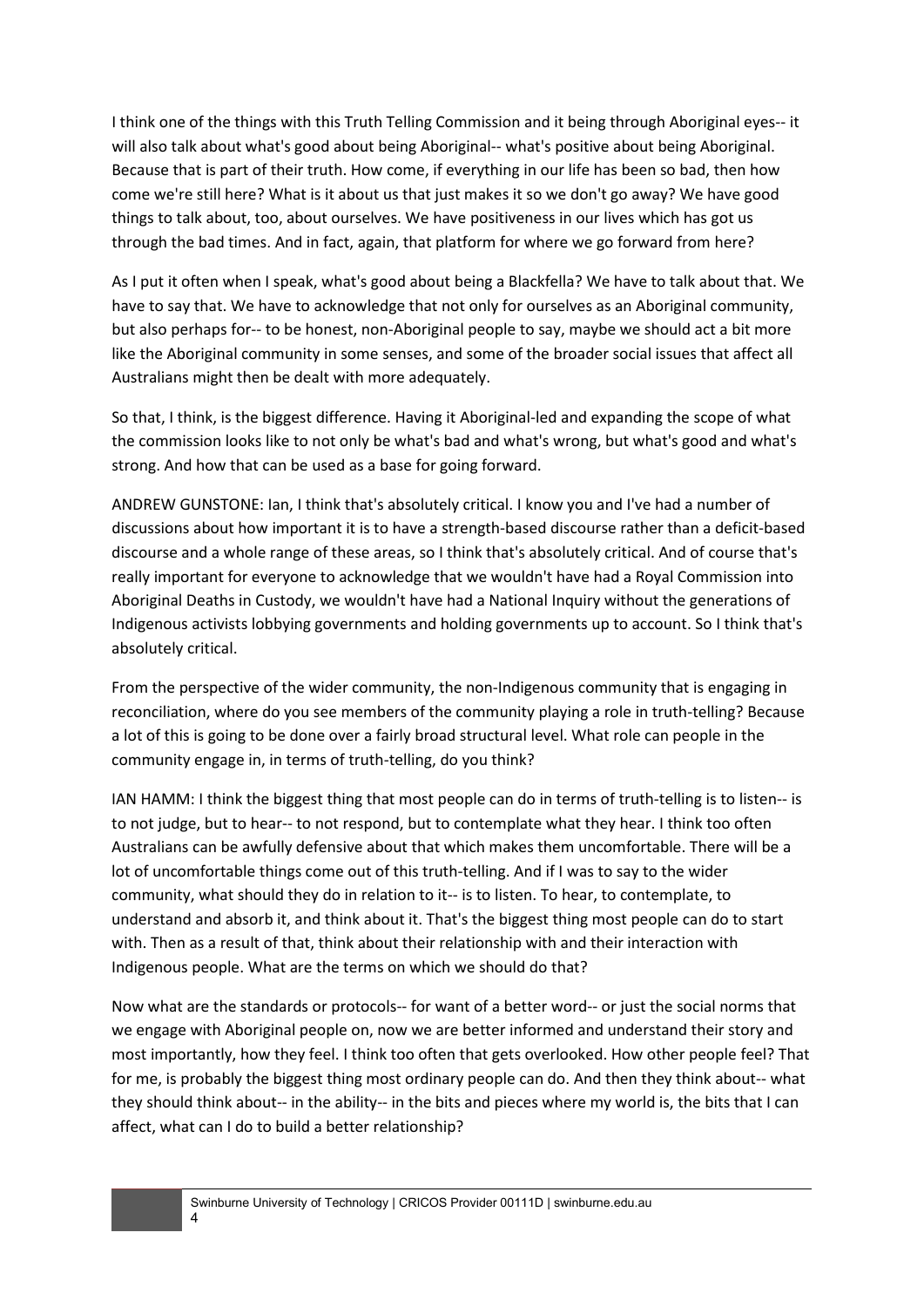I think one of the things with this Truth Telling Commission and it being through Aboriginal eyes-- it will also talk about what's good about being Aboriginal-- what's positive about being Aboriginal. Because that is part of their truth. How come, if everything in our life has been so bad, then how come we're still here? What is it about us that just makes it so we don't go away? We have good things to talk about, too, about ourselves. We have positiveness in our lives which has got us through the bad times. And in fact, again, that platform for where we go forward from here?

As I put it often when I speak, what's good about being a Blackfella? We have to talk about that. We have to say that. We have to acknowledge that not only for ourselves as an Aboriginal community, but also perhaps for-- to be honest, non-Aboriginal people to say, maybe we should act a bit more like the Aboriginal community in some senses, and some of the broader social issues that affect all Australians might then be dealt with more adequately.

So that, I think, is the biggest difference. Having it Aboriginal-led and expanding the scope of what the commission looks like to not only be what's bad and what's wrong, but what's good and what's strong. And how that can be used as a base for going forward.

ANDREW GUNSTONE: Ian, I think that's absolutely critical. I know you and I've had a number of discussions about how important it is to have a strength-based discourse rather than a deficit-based discourse and a whole range of these areas, so I think that's absolutely critical. And of course that's really important for everyone to acknowledge that we wouldn't have had a Royal Commission into Aboriginal Deaths in Custody, we wouldn't have had a National Inquiry without the generations of Indigenous activists lobbying governments and holding governments up to account. So I think that's absolutely critical.

From the perspective of the wider community, the non-Indigenous community that is engaging in reconciliation, where do you see members of the community playing a role in truth-telling? Because a lot of this is going to be done over a fairly broad structural level. What role can people in the community engage in, in terms of truth-telling, do you think?

IAN HAMM: I think the biggest thing that most people can do in terms of truth-telling is to listen-- is to not judge, but to hear-- to not respond, but to contemplate what they hear. I think too often Australians can be awfully defensive about that which makes them uncomfortable. There will be a lot of uncomfortable things come out of this truth-telling. And if I was to say to the wider community, what should they do in relation to it-- is to listen. To hear, to contemplate, to understand and absorb it, and think about it. That's the biggest thing most people can do to start with. Then as a result of that, think about their relationship with and their interaction with Indigenous people. What are the terms on which we should do that?

Now what are the standards or protocols-- for want of a better word-- or just the social norms that we engage with Aboriginal people on, now we are better informed and understand their story and most importantly, how they feel. I think too often that gets overlooked. How other people feel? That for me, is probably the biggest thing most ordinary people can do. And then they think about-- what they should think about-- in the ability-- in the bits and pieces where my world is, the bits that I can affect, what can I do to build a better relationship?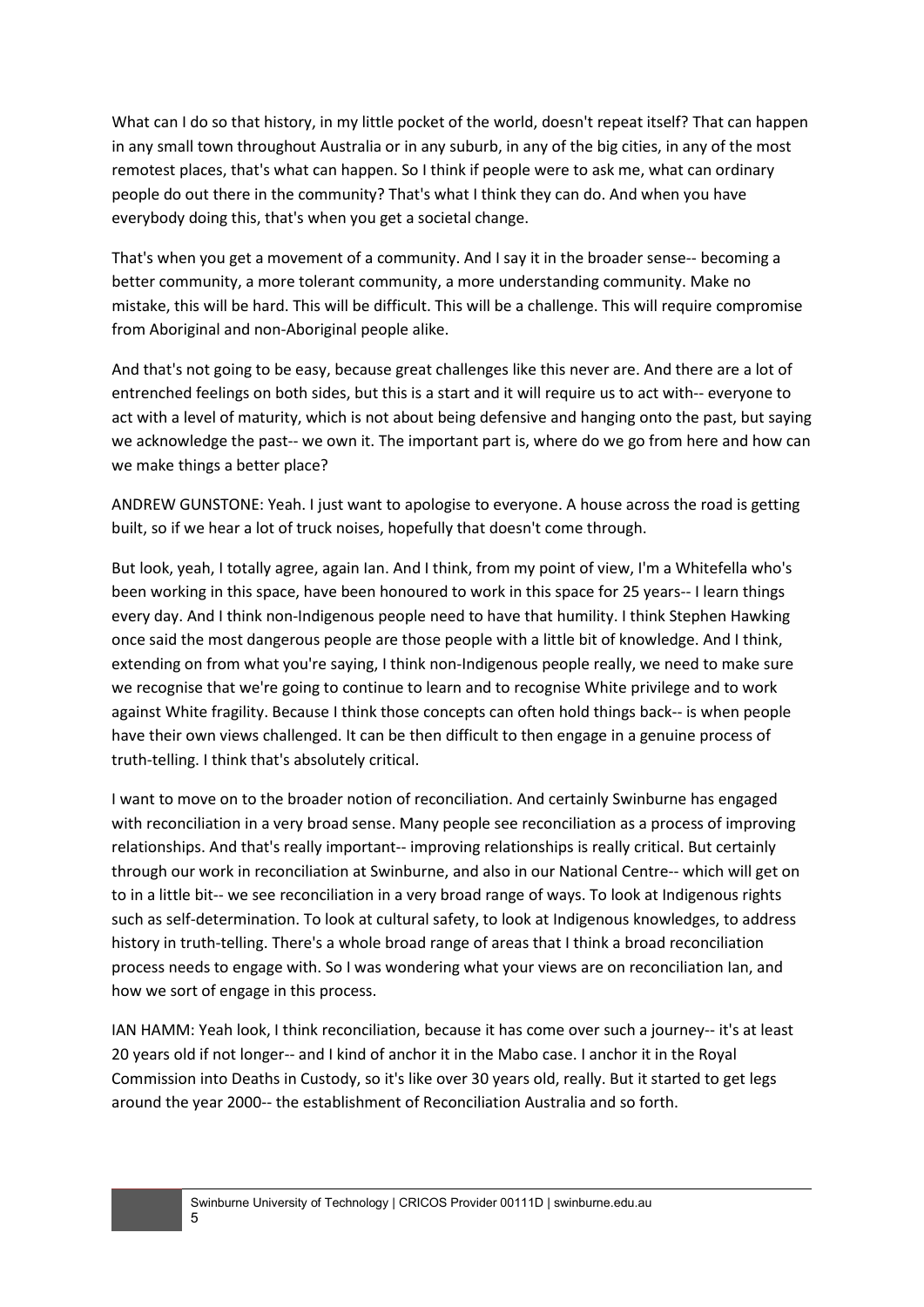What can I do so that history, in my little pocket of the world, doesn't repeat itself? That can happen in any small town throughout Australia or in any suburb, in any of the big cities, in any of the most remotest places, that's what can happen. So I think if people were to ask me, what can ordinary people do out there in the community? That's what I think they can do. And when you have everybody doing this, that's when you get a societal change.

That's when you get a movement of a community. And I say it in the broader sense-- becoming a better community, a more tolerant community, a more understanding community. Make no mistake, this will be hard. This will be difficult. This will be a challenge. This will require compromise from Aboriginal and non-Aboriginal people alike.

And that's not going to be easy, because great challenges like this never are. And there are a lot of entrenched feelings on both sides, but this is a start and it will require us to act with-- everyone to act with a level of maturity, which is not about being defensive and hanging onto the past, but saying we acknowledge the past-- we own it. The important part is, where do we go from here and how can we make things a better place?

ANDREW GUNSTONE: Yeah. I just want to apologise to everyone. A house across the road is getting built, so if we hear a lot of truck noises, hopefully that doesn't come through.

But look, yeah, I totally agree, again Ian. And I think, from my point of view, I'm a Whitefella who's been working in this space, have been honoured to work in this space for 25 years-- I learn things every day. And I think non-Indigenous people need to have that humility. I think Stephen Hawking once said the most dangerous people are those people with a little bit of knowledge. And I think, extending on from what you're saying, I think non-Indigenous people really, we need to make sure we recognise that we're going to continue to learn and to recognise White privilege and to work against White fragility. Because I think those concepts can often hold things back-- is when people have their own views challenged. It can be then difficult to then engage in a genuine process of truth-telling. I think that's absolutely critical.

I want to move on to the broader notion of reconciliation. And certainly Swinburne has engaged with reconciliation in a very broad sense. Many people see reconciliation as a process of improving relationships. And that's really important-- improving relationships is really critical. But certainly through our work in reconciliation at Swinburne, and also in our National Centre-- which will get on to in a little bit-- we see reconciliation in a very broad range of ways. To look at Indigenous rights such as self-determination. To look at cultural safety, to look at Indigenous knowledges, to address history in truth-telling. There's a whole broad range of areas that I think a broad reconciliation process needs to engage with. So I was wondering what your views are on reconciliation Ian, and how we sort of engage in this process.

IAN HAMM: Yeah look, I think reconciliation, because it has come over such a journey-- it's at least 20 years old if not longer-- and I kind of anchor it in the Mabo case. I anchor it in the Royal Commission into Deaths in Custody, so it's like over 30 years old, really. But it started to get legs around the year 2000-- the establishment of Reconciliation Australia and so forth.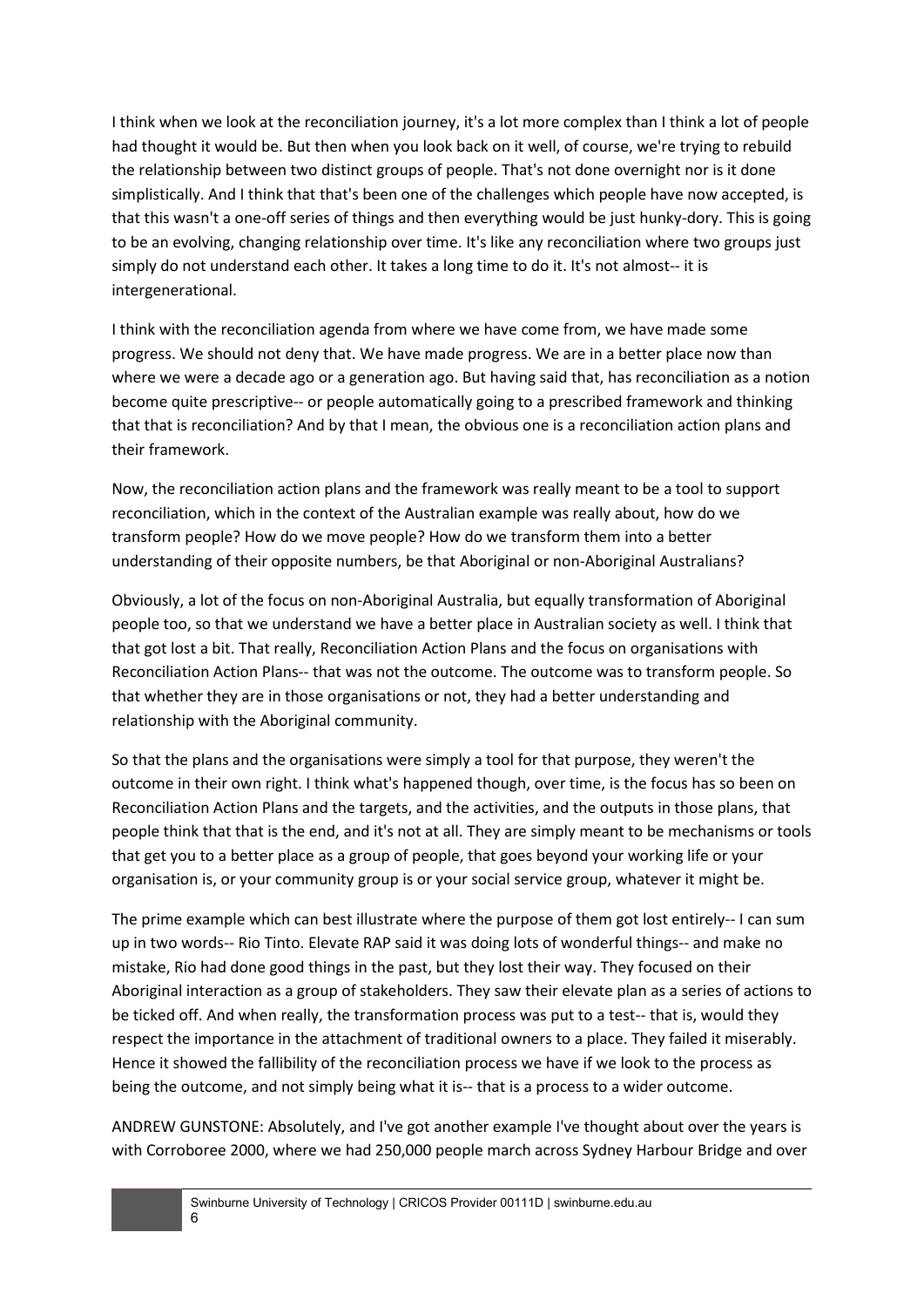I think when we look at the reconciliation journey, it's a lot more complex than I think a lot of people had thought it would be. But then when you look back on it well, of course, we're trying to rebuild the relationship between two distinct groups of people. That's not done overnight nor is it done simplistically. And I think that that's been one of the challenges which people have now accepted, is that this wasn't a one-off series of things and then everything would be just hunky-dory. This is going to be an evolving, changing relationship over time. It's like any reconciliation where two groups just simply do not understand each other. It takes a long time to do it. It's not almost-- it is intergenerational.

I think with the reconciliation agenda from where we have come from, we have made some progress. We should not deny that. We have made progress. We are in a better place now than where we were a decade ago or a generation ago. But having said that, has reconciliation as a notion become quite prescriptive-- or people automatically going to a prescribed framework and thinking that that is reconciliation? And by that I mean, the obvious one is a reconciliation action plans and their framework.

Now, the reconciliation action plans and the framework was really meant to be a tool to support reconciliation, which in the context of the Australian example was really about, how do we transform people? How do we move people? How do we transform them into a better understanding of their opposite numbers, be that Aboriginal or non-Aboriginal Australians?

Obviously, a lot of the focus on non-Aboriginal Australia, but equally transformation of Aboriginal people too, so that we understand we have a better place in Australian society as well. I think that that got lost a bit. That really, Reconciliation Action Plans and the focus on organisations with Reconciliation Action Plans-- that was not the outcome. The outcome was to transform people. So that whether they are in those organisations or not, they had a better understanding and relationship with the Aboriginal community.

So that the plans and the organisations were simply a tool for that purpose, they weren't the outcome in their own right. I think what's happened though, over time, is the focus has so been on Reconciliation Action Plans and the targets, and the activities, and the outputs in those plans, that people think that that is the end, and it's not at all. They are simply meant to be mechanisms or tools that get you to a better place as a group of people, that goes beyond your working life or your organisation is, or your community group is or your social service group, whatever it might be.

The prime example which can best illustrate where the purpose of them got lost entirely-- I can sum up in two words-- Rio Tinto. Elevate RAP said it was doing lots of wonderful things-- and make no mistake, Rio had done good things in the past, but they lost their way. They focused on their Aboriginal interaction as a group of stakeholders. They saw their elevate plan as a series of actions to be ticked off. And when really, the transformation process was put to a test-- that is, would they respect the importance in the attachment of traditional owners to a place. They failed it miserably. Hence it showed the fallibility of the reconciliation process we have if we look to the process as being the outcome, and not simply being what it is-- that is a process to a wider outcome.

ANDREW GUNSTONE: Absolutely, and I've got another example I've thought about over the years is with Corroboree 2000, where we had 250,000 people march across Sydney Harbour Bridge and over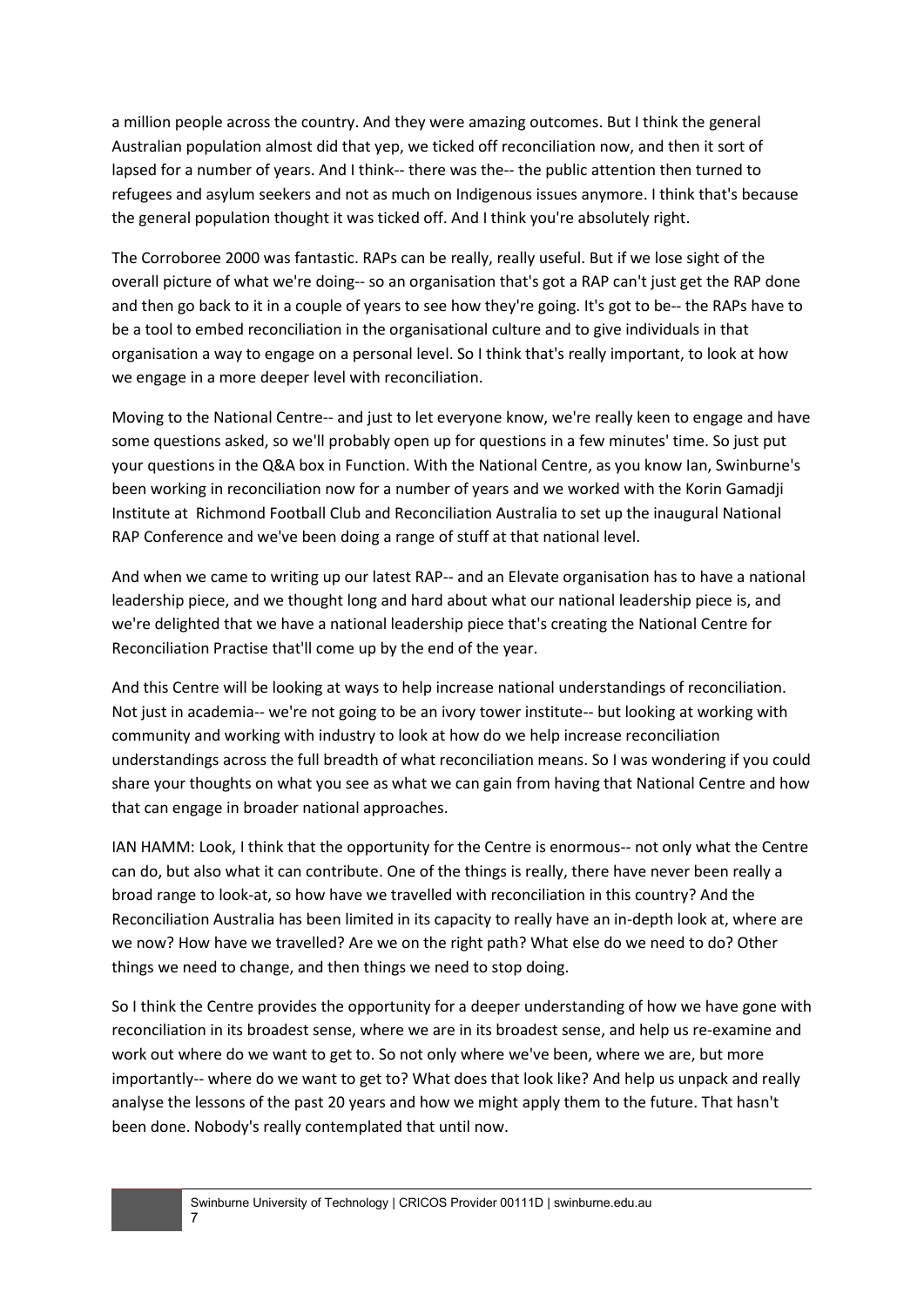a million people across the country. And they were amazing outcomes. But I think the general Australian population almost did that yep, we ticked off reconciliation now, and then it sort of lapsed for a number of years. And I think-- there was the-- the public attention then turned to refugees and asylum seekers and not as much on Indigenous issues anymore. I think that's because the general population thought it was ticked off. And I think you're absolutely right.

The Corroboree 2000 was fantastic. RAPs can be really, really useful. But if we lose sight of the overall picture of what we're doing-- so an organisation that's got a RAP can't just get the RAP done and then go back to it in a couple of years to see how they're going. It's got to be-- the RAPs have to be a tool to embed reconciliation in the organisational culture and to give individuals in that organisation a way to engage on a personal level. So I think that's really important, to look at how we engage in a more deeper level with reconciliation.

Moving to the National Centre-- and just to let everyone know, we're really keen to engage and have some questions asked, so we'll probably open up for questions in a few minutes' time. So just put your questions in the Q&A box in Function. With the National Centre, as you know Ian, Swinburne's been working in reconciliation now for a number of years and we worked with the Korin Gamadji Institute at Richmond Football Club and Reconciliation Australia to set up the inaugural National RAP Conference and we've been doing a range of stuff at that national level.

And when we came to writing up our latest RAP-- and an Elevate organisation has to have a national leadership piece, and we thought long and hard about what our national leadership piece is, and we're delighted that we have a national leadership piece that's creating the National Centre for Reconciliation Practise that'll come up by the end of the year.

And this Centre will be looking at ways to help increase national understandings of reconciliation. Not just in academia-- we're not going to be an ivory tower institute-- but looking at working with community and working with industry to look at how do we help increase reconciliation understandings across the full breadth of what reconciliation means. So I was wondering if you could share your thoughts on what you see as what we can gain from having that National Centre and how that can engage in broader national approaches.

IAN HAMM: Look, I think that the opportunity for the Centre is enormous-- not only what the Centre can do, but also what it can contribute. One of the things is really, there have never been really a broad range to look-at, so how have we travelled with reconciliation in this country? And the Reconciliation Australia has been limited in its capacity to really have an in-depth look at, where are we now? How have we travelled? Are we on the right path? What else do we need to do? Other things we need to change, and then things we need to stop doing.

So I think the Centre provides the opportunity for a deeper understanding of how we have gone with reconciliation in its broadest sense, where we are in its broadest sense, and help us re-examine and work out where do we want to get to. So not only where we've been, where we are, but more importantly-- where do we want to get to? What does that look like? And help us unpack and really analyse the lessons of the past 20 years and how we might apply them to the future. That hasn't been done. Nobody's really contemplated that until now.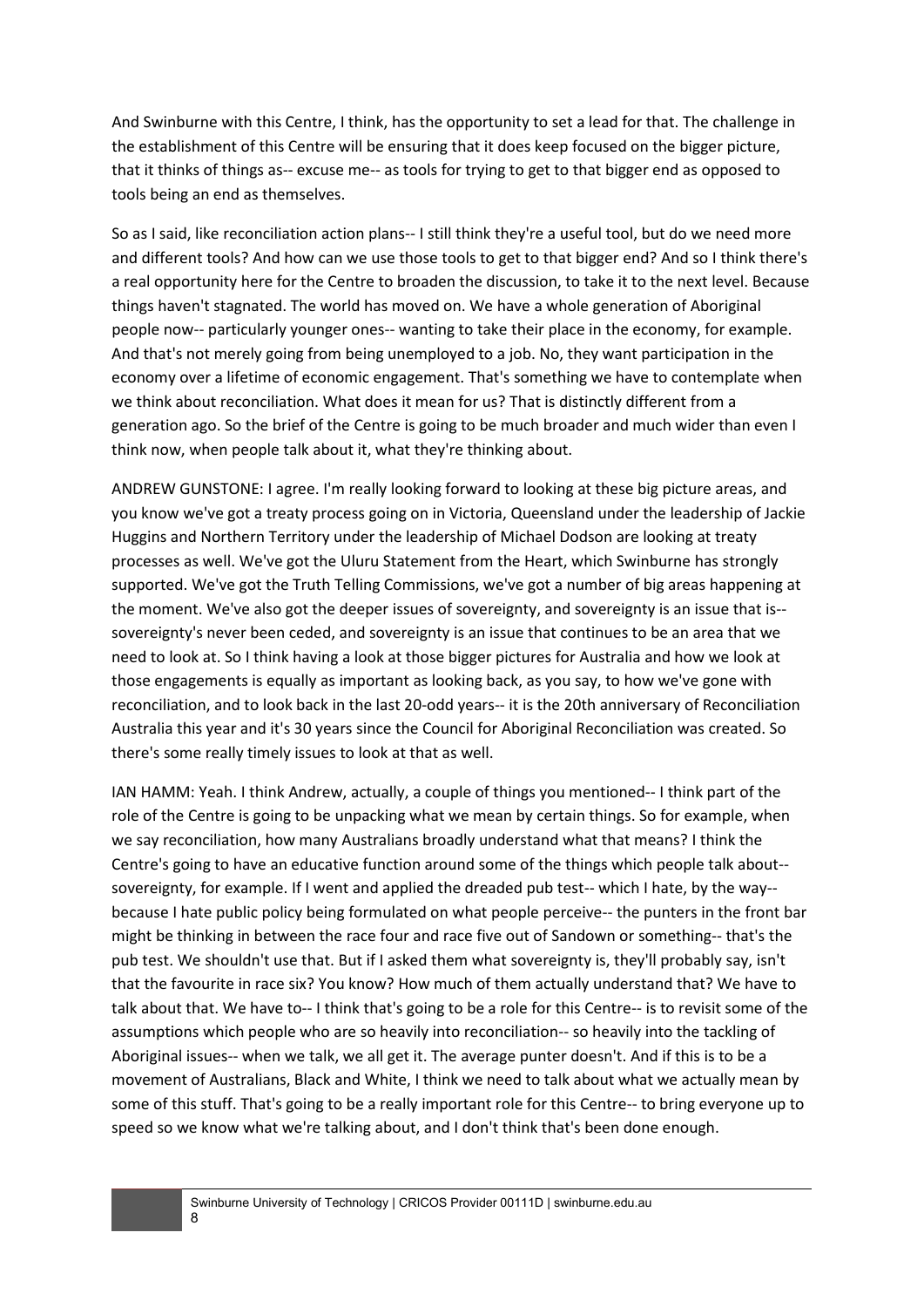And Swinburne with this Centre, I think, has the opportunity to set a lead for that. The challenge in the establishment of this Centre will be ensuring that it does keep focused on the bigger picture, that it thinks of things as-- excuse me-- as tools for trying to get to that bigger end as opposed to tools being an end as themselves.

So as I said, like reconciliation action plans-- I still think they're a useful tool, but do we need more and different tools? And how can we use those tools to get to that bigger end? And so I think there's a real opportunity here for the Centre to broaden the discussion, to take it to the next level. Because things haven't stagnated. The world has moved on. We have a whole generation of Aboriginal people now-- particularly younger ones-- wanting to take their place in the economy, for example. And that's not merely going from being unemployed to a job. No, they want participation in the economy over a lifetime of economic engagement. That's something we have to contemplate when we think about reconciliation. What does it mean for us? That is distinctly different from a generation ago. So the brief of the Centre is going to be much broader and much wider than even I think now, when people talk about it, what they're thinking about.

ANDREW GUNSTONE: I agree. I'm really looking forward to looking at these big picture areas, and you know we've got a treaty process going on in Victoria, Queensland under the leadership of Jackie Huggins and Northern Territory under the leadership of Michael Dodson are looking at treaty processes as well. We've got the Uluru Statement from the Heart, which Swinburne has strongly supported. We've got the Truth Telling Commissions, we've got a number of big areas happening at the moment. We've also got the deeper issues of sovereignty, and sovereignty is an issue that is- sovereignty's never been ceded, and sovereignty is an issue that continues to be an area that we need to look at. So I think having a look at those bigger pictures for Australia and how we look at those engagements is equally as important as looking back, as you say, to how we've gone with reconciliation, and to look back in the last 20-odd years-- it is the 20th anniversary of Reconciliation Australia this year and it's 30 years since the Council for Aboriginal Reconciliation was created. So there's some really timely issues to look at that as well.

IAN HAMM: Yeah. I think Andrew, actually, a couple of things you mentioned-- I think part of the role of the Centre is going to be unpacking what we mean by certain things. So for example, when we say reconciliation, how many Australians broadly understand what that means? I think the Centre's going to have an educative function around some of the things which people talk about- sovereignty, for example. If I went and applied the dreaded pub test-- which I hate, by the way- because I hate public policy being formulated on what people perceive-- the punters in the front bar might be thinking in between the race four and race five out of Sandown or something-- that's the pub test. We shouldn't use that. But if I asked them what sovereignty is, they'll probably say, isn't that the favourite in race six? You know? How much of them actually understand that? We have to talk about that. We have to-- I think that's going to be a role for this Centre-- is to revisit some of the assumptions which people who are so heavily into reconciliation-- so heavily into the tackling of Aboriginal issues-- when we talk, we all get it. The average punter doesn't. And if this is to be a movement of Australians, Black and White, I think we need to talk about what we actually mean by some of this stuff. That's going to be a really important role for this Centre-- to bring everyone up to speed so we know what we're talking about, and I don't think that's been done enough.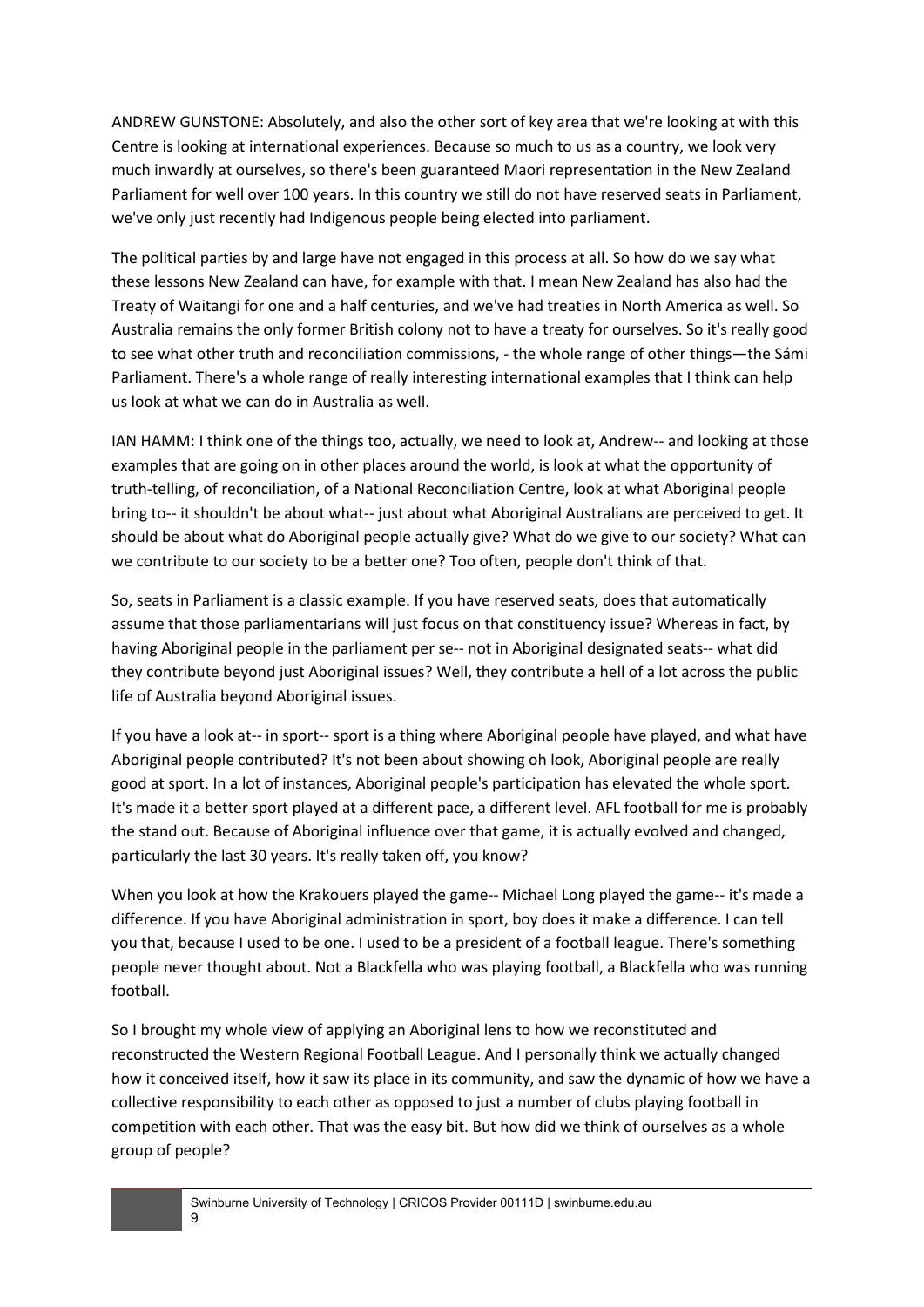ANDREW GUNSTONE: Absolutely, and also the other sort of key area that we're looking at with this Centre is looking at international experiences. Because so much to us as a country, we look very much inwardly at ourselves, so there's been guaranteed Maori representation in the New Zealand Parliament for well over 100 years. In this country we still do not have reserved seats in Parliament, we've only just recently had Indigenous people being elected into parliament.

The political parties by and large have not engaged in this process at all. So how do we say what these lessons New Zealand can have, for example with that. I mean New Zealand has also had the Treaty of Waitangi for one and a half centuries, and we've had treaties in North America as well. So Australia remains the only former British colony not to have a treaty for ourselves. So it's really good to see what other truth and reconciliation commissions, - the whole range of other things—the Sámi Parliament. There's a whole range of really interesting international examples that I think can help us look at what we can do in Australia as well.

IAN HAMM: I think one of the things too, actually, we need to look at, Andrew-- and looking at those examples that are going on in other places around the world, is look at what the opportunity of truth-telling, of reconciliation, of a National Reconciliation Centre, look at what Aboriginal people bring to-- it shouldn't be about what-- just about what Aboriginal Australians are perceived to get. It should be about what do Aboriginal people actually give? What do we give to our society? What can we contribute to our society to be a better one? Too often, people don't think of that.

So, seats in Parliament is a classic example. If you have reserved seats, does that automatically assume that those parliamentarians will just focus on that constituency issue? Whereas in fact, by having Aboriginal people in the parliament per se-- not in Aboriginal designated seats-- what did they contribute beyond just Aboriginal issues? Well, they contribute a hell of a lot across the public life of Australia beyond Aboriginal issues.

If you have a look at-- in sport-- sport is a thing where Aboriginal people have played, and what have Aboriginal people contributed? It's not been about showing oh look, Aboriginal people are really good at sport. In a lot of instances, Aboriginal people's participation has elevated the whole sport. It's made it a better sport played at a different pace, a different level. AFL football for me is probably the stand out. Because of Aboriginal influence over that game, it is actually evolved and changed, particularly the last 30 years. It's really taken off, you know?

When you look at how the Krakouers played the game-- Michael Long played the game-- it's made a difference. If you have Aboriginal administration in sport, boy does it make a difference. I can tell you that, because I used to be one. I used to be a president of a football league. There's something people never thought about. Not a Blackfella who was playing football, a Blackfella who was running football.

So I brought my whole view of applying an Aboriginal lens to how we reconstituted and reconstructed the Western Regional Football League. And I personally think we actually changed how it conceived itself, how it saw its place in its community, and saw the dynamic of how we have a collective responsibility to each other as opposed to just a number of clubs playing football in competition with each other. That was the easy bit. But how did we think of ourselves as a whole group of people?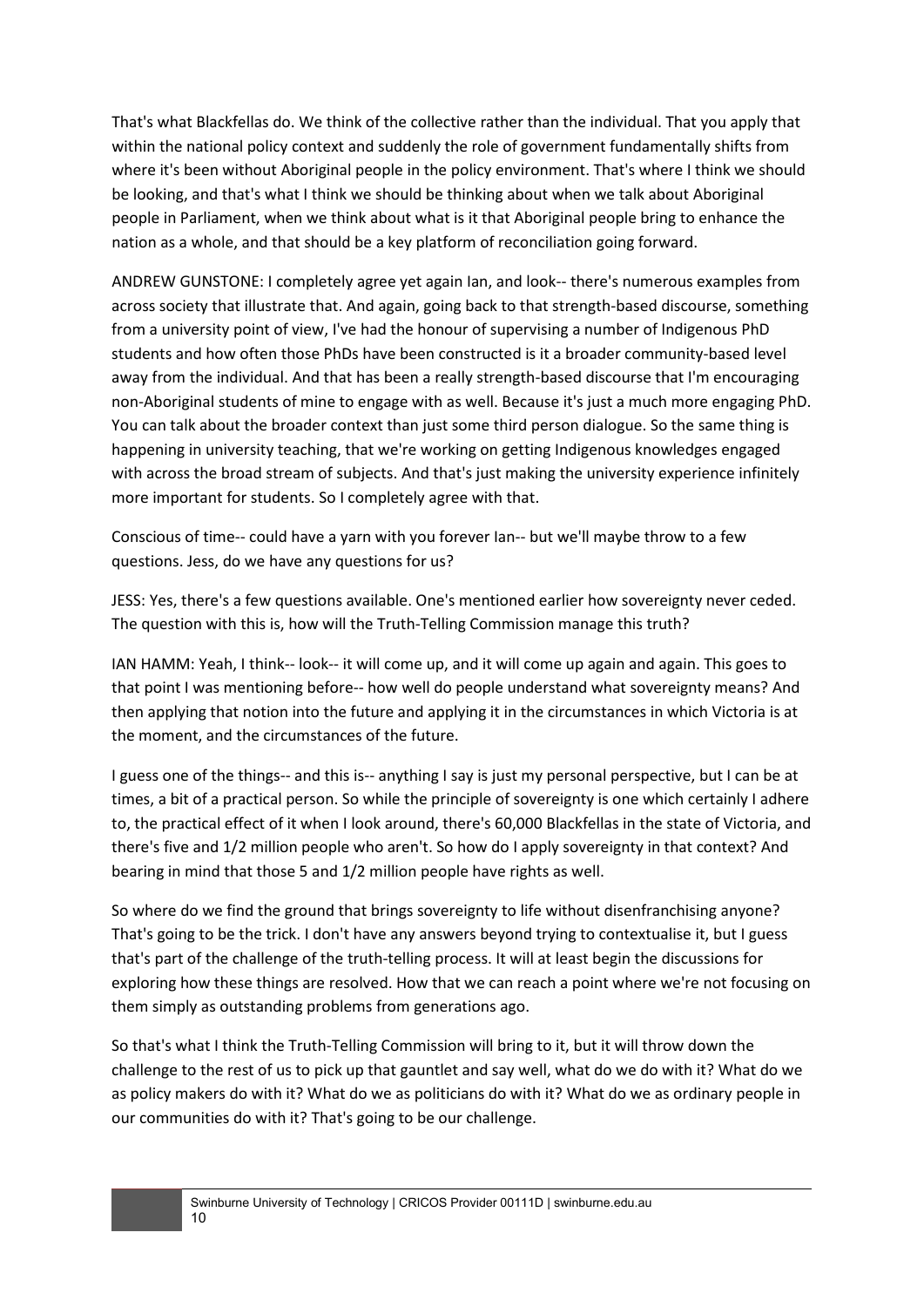That's what Blackfellas do. We think of the collective rather than the individual. That you apply that within the national policy context and suddenly the role of government fundamentally shifts from where it's been without Aboriginal people in the policy environment. That's where I think we should be looking, and that's what I think we should be thinking about when we talk about Aboriginal people in Parliament, when we think about what is it that Aboriginal people bring to enhance the nation as a whole, and that should be a key platform of reconciliation going forward.

ANDREW GUNSTONE: I completely agree yet again Ian, and look-- there's numerous examples from across society that illustrate that. And again, going back to that strength-based discourse, something from a university point of view, I've had the honour of supervising a number of Indigenous PhD students and how often those PhDs have been constructed is it a broader community-based level away from the individual. And that has been a really strength-based discourse that I'm encouraging non-Aboriginal students of mine to engage with as well. Because it's just a much more engaging PhD. You can talk about the broader context than just some third person dialogue. So the same thing is happening in university teaching, that we're working on getting Indigenous knowledges engaged with across the broad stream of subjects. And that's just making the university experience infinitely more important for students. So I completely agree with that.

Conscious of time-- could have a yarn with you forever Ian-- but we'll maybe throw to a few questions. Jess, do we have any questions for us?

JESS: Yes, there's a few questions available. One's mentioned earlier how sovereignty never ceded. The question with this is, how will the Truth-Telling Commission manage this truth?

IAN HAMM: Yeah, I think-- look-- it will come up, and it will come up again and again. This goes to that point I was mentioning before-- how well do people understand what sovereignty means? And then applying that notion into the future and applying it in the circumstances in which Victoria is at the moment, and the circumstances of the future.

I guess one of the things-- and this is-- anything I say is just my personal perspective, but I can be at times, a bit of a practical person. So while the principle of sovereignty is one which certainly I adhere to, the practical effect of it when I look around, there's 60,000 Blackfellas in the state of Victoria, and there's five and 1/2 million people who aren't. So how do I apply sovereignty in that context? And bearing in mind that those 5 and 1/2 million people have rights as well.

So where do we find the ground that brings sovereignty to life without disenfranchising anyone? That's going to be the trick. I don't have any answers beyond trying to contextualise it, but I guess that's part of the challenge of the truth-telling process. It will at least begin the discussions for exploring how these things are resolved. How that we can reach a point where we're not focusing on them simply as outstanding problems from generations ago.

So that's what I think the Truth-Telling Commission will bring to it, but it will throw down the challenge to the rest of us to pick up that gauntlet and say well, what do we do with it? What do we as policy makers do with it? What do we as politicians do with it? What do we as ordinary people in our communities do with it? That's going to be our challenge.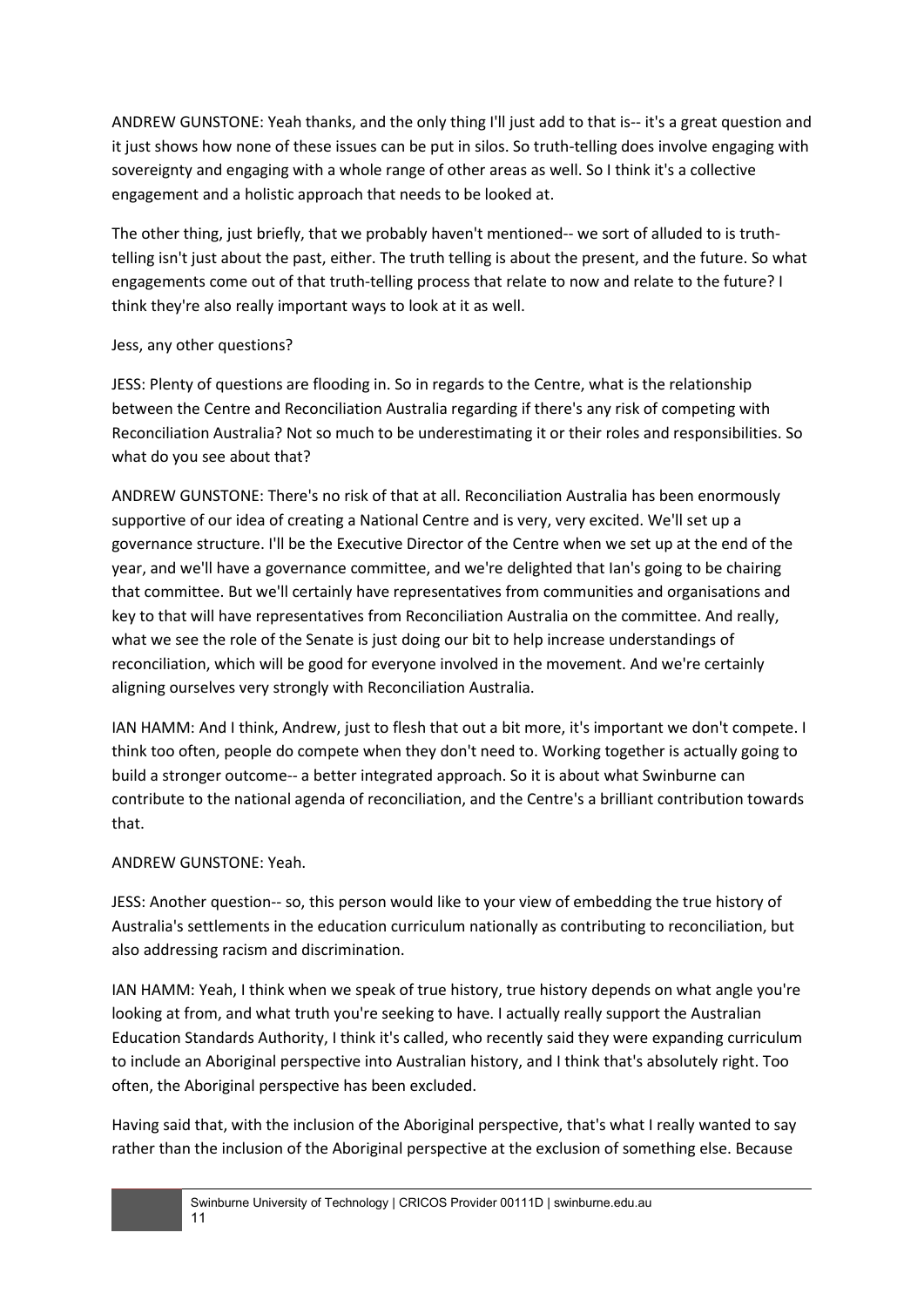ANDREW GUNSTONE: Yeah thanks, and the only thing I'll just add to that is-- it's a great question and it just shows how none of these issues can be put in silos. So truth-telling does involve engaging with sovereignty and engaging with a whole range of other areas as well. So I think it's a collective engagement and a holistic approach that needs to be looked at.

The other thing, just briefly, that we probably haven't mentioned-- we sort of alluded to is truthtelling isn't just about the past, either. The truth telling is about the present, and the future. So what engagements come out of that truth-telling process that relate to now and relate to the future? I think they're also really important ways to look at it as well.

## Jess, any other questions?

JESS: Plenty of questions are flooding in. So in regards to the Centre, what is the relationship between the Centre and Reconciliation Australia regarding if there's any risk of competing with Reconciliation Australia? Not so much to be underestimating it or their roles and responsibilities. So what do you see about that?

ANDREW GUNSTONE: There's no risk of that at all. Reconciliation Australia has been enormously supportive of our idea of creating a National Centre and is very, very excited. We'll set up a governance structure. I'll be the Executive Director of the Centre when we set up at the end of the year, and we'll have a governance committee, and we're delighted that Ian's going to be chairing that committee. But we'll certainly have representatives from communities and organisations and key to that will have representatives from Reconciliation Australia on the committee. And really, what we see the role of the Senate is just doing our bit to help increase understandings of reconciliation, which will be good for everyone involved in the movement. And we're certainly aligning ourselves very strongly with Reconciliation Australia.

IAN HAMM: And I think, Andrew, just to flesh that out a bit more, it's important we don't compete. I think too often, people do compete when they don't need to. Working together is actually going to build a stronger outcome-- a better integrated approach. So it is about what Swinburne can contribute to the national agenda of reconciliation, and the Centre's a brilliant contribution towards that.

## ANDREW GUNSTONE: Yeah.

JESS: Another question-- so, this person would like to your view of embedding the true history of Australia's settlements in the education curriculum nationally as contributing to reconciliation, but also addressing racism and discrimination.

IAN HAMM: Yeah, I think when we speak of true history, true history depends on what angle you're looking at from, and what truth you're seeking to have. I actually really support the Australian Education Standards Authority, I think it's called, who recently said they were expanding curriculum to include an Aboriginal perspective into Australian history, and I think that's absolutely right. Too often, the Aboriginal perspective has been excluded.

Having said that, with the inclusion of the Aboriginal perspective, that's what I really wanted to say rather than the inclusion of the Aboriginal perspective at the exclusion of something else. Because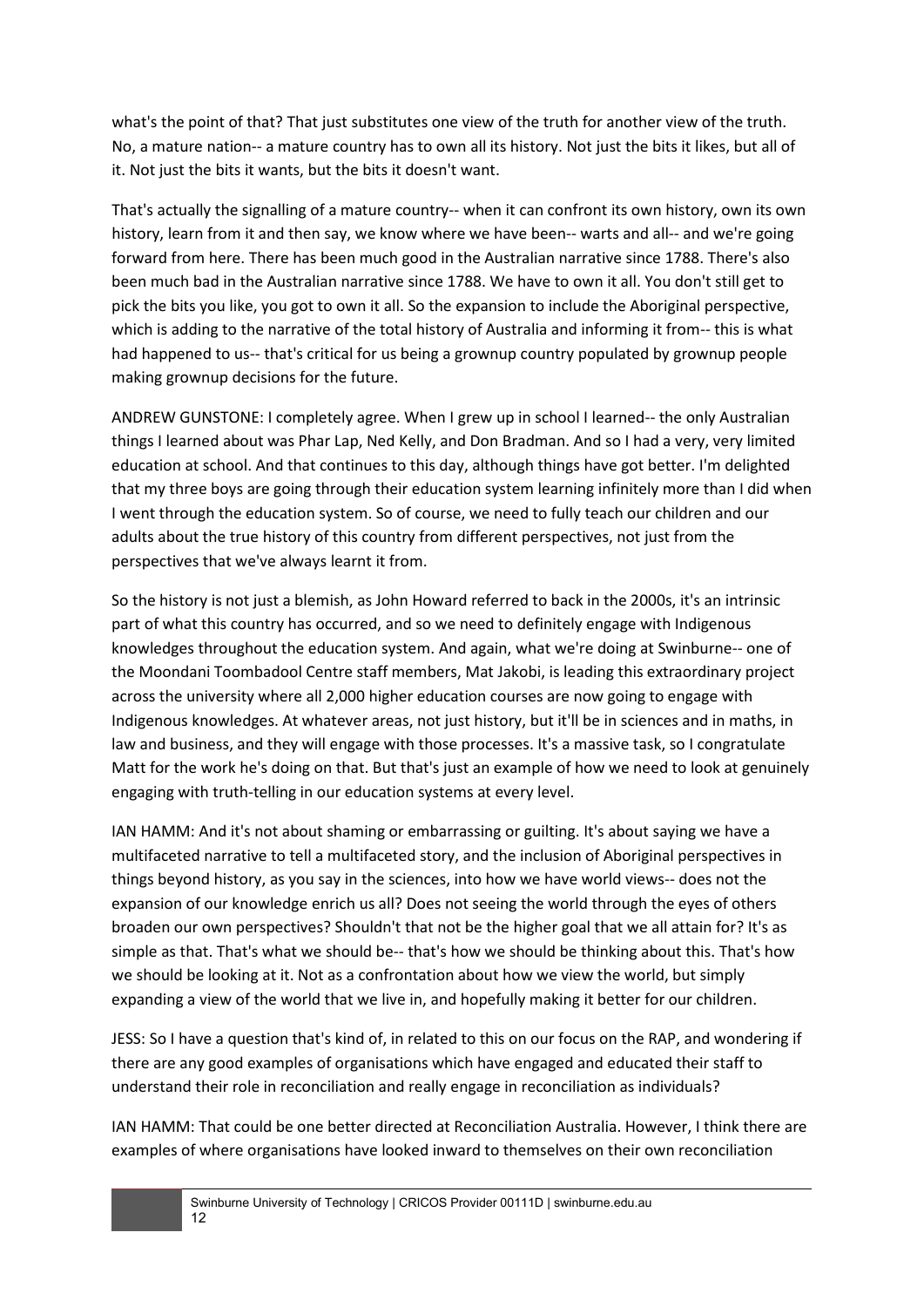what's the point of that? That just substitutes one view of the truth for another view of the truth. No, a mature nation-- a mature country has to own all its history. Not just the bits it likes, but all of it. Not just the bits it wants, but the bits it doesn't want.

That's actually the signalling of a mature country-- when it can confront its own history, own its own history, learn from it and then say, we know where we have been-- warts and all-- and we're going forward from here. There has been much good in the Australian narrative since 1788. There's also been much bad in the Australian narrative since 1788. We have to own it all. You don't still get to pick the bits you like, you got to own it all. So the expansion to include the Aboriginal perspective, which is adding to the narrative of the total history of Australia and informing it from-- this is what had happened to us-- that's critical for us being a grownup country populated by grownup people making grownup decisions for the future.

ANDREW GUNSTONE: I completely agree. When I grew up in school I learned-- the only Australian things I learned about was Phar Lap, Ned Kelly, and Don Bradman. And so I had a very, very limited education at school. And that continues to this day, although things have got better. I'm delighted that my three boys are going through their education system learning infinitely more than I did when I went through the education system. So of course, we need to fully teach our children and our adults about the true history of this country from different perspectives, not just from the perspectives that we've always learnt it from.

So the history is not just a blemish, as John Howard referred to back in the 2000s, it's an intrinsic part of what this country has occurred, and so we need to definitely engage with Indigenous knowledges throughout the education system. And again, what we're doing at Swinburne-- one of the Moondani Toombadool Centre staff members, Mat Jakobi, is leading this extraordinary project across the university where all 2,000 higher education courses are now going to engage with Indigenous knowledges. At whatever areas, not just history, but it'll be in sciences and in maths, in law and business, and they will engage with those processes. It's a massive task, so I congratulate Matt for the work he's doing on that. But that's just an example of how we need to look at genuinely engaging with truth-telling in our education systems at every level.

IAN HAMM: And it's not about shaming or embarrassing or guilting. It's about saying we have a multifaceted narrative to tell a multifaceted story, and the inclusion of Aboriginal perspectives in things beyond history, as you say in the sciences, into how we have world views-- does not the expansion of our knowledge enrich us all? Does not seeing the world through the eyes of others broaden our own perspectives? Shouldn't that not be the higher goal that we all attain for? It's as simple as that. That's what we should be-- that's how we should be thinking about this. That's how we should be looking at it. Not as a confrontation about how we view the world, but simply expanding a view of the world that we live in, and hopefully making it better for our children.

JESS: So I have a question that's kind of, in related to this on our focus on the RAP, and wondering if there are any good examples of organisations which have engaged and educated their staff to understand their role in reconciliation and really engage in reconciliation as individuals?

IAN HAMM: That could be one better directed at Reconciliation Australia. However, I think there are examples of where organisations have looked inward to themselves on their own reconciliation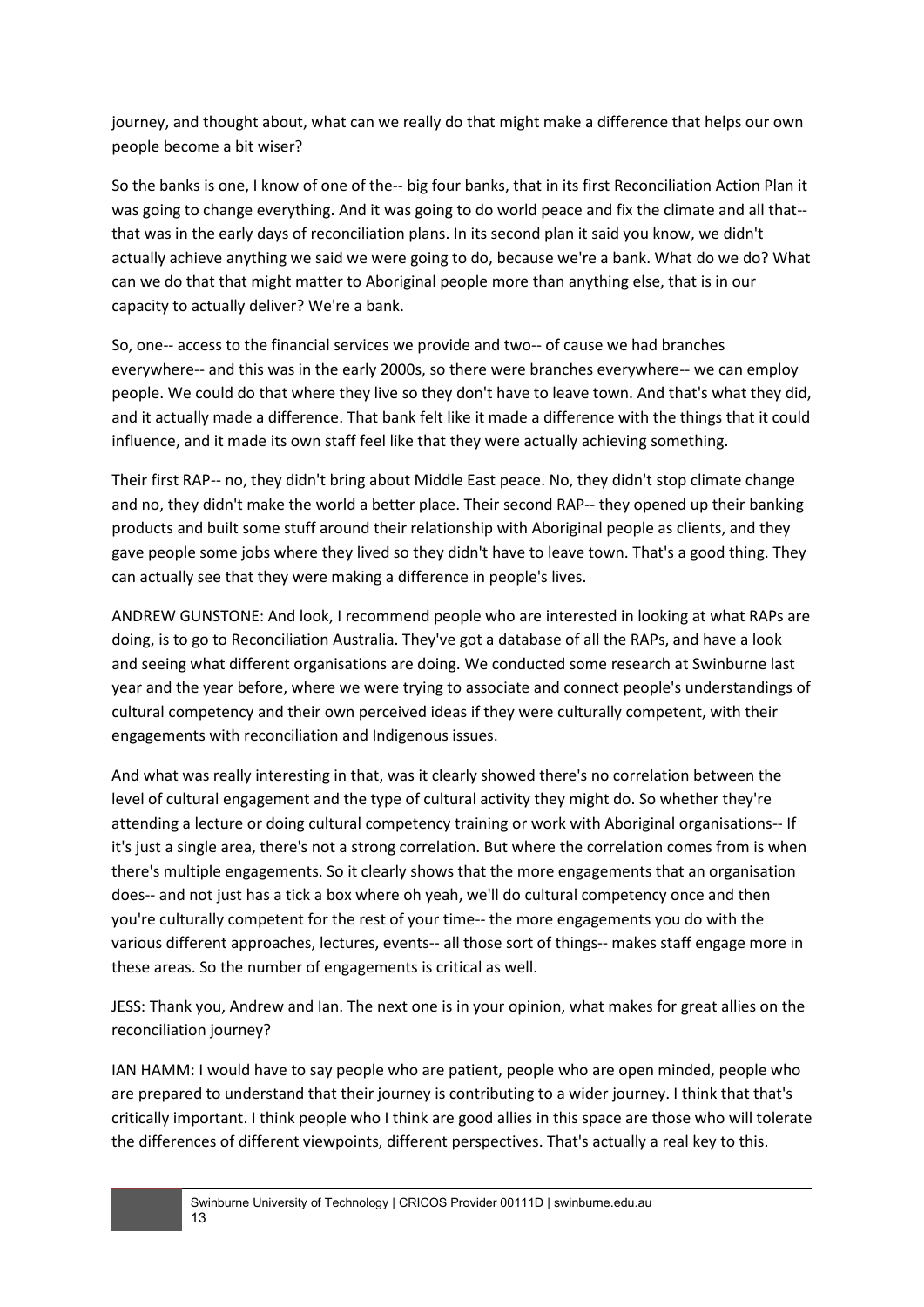journey, and thought about, what can we really do that might make a difference that helps our own people become a bit wiser?

So the banks is one, I know of one of the-- big four banks, that in its first Reconciliation Action Plan it was going to change everything. And it was going to do world peace and fix the climate and all that- that was in the early days of reconciliation plans. In its second plan it said you know, we didn't actually achieve anything we said we were going to do, because we're a bank. What do we do? What can we do that that might matter to Aboriginal people more than anything else, that is in our capacity to actually deliver? We're a bank.

So, one-- access to the financial services we provide and two-- of cause we had branches everywhere-- and this was in the early 2000s, so there were branches everywhere-- we can employ people. We could do that where they live so they don't have to leave town. And that's what they did, and it actually made a difference. That bank felt like it made a difference with the things that it could influence, and it made its own staff feel like that they were actually achieving something.

Their first RAP-- no, they didn't bring about Middle East peace. No, they didn't stop climate change and no, they didn't make the world a better place. Their second RAP-- they opened up their banking products and built some stuff around their relationship with Aboriginal people as clients, and they gave people some jobs where they lived so they didn't have to leave town. That's a good thing. They can actually see that they were making a difference in people's lives.

ANDREW GUNSTONE: And look, I recommend people who are interested in looking at what RAPs are doing, is to go to Reconciliation Australia. They've got a database of all the RAPs, and have a look and seeing what different organisations are doing. We conducted some research at Swinburne last year and the year before, where we were trying to associate and connect people's understandings of cultural competency and their own perceived ideas if they were culturally competent, with their engagements with reconciliation and Indigenous issues.

And what was really interesting in that, was it clearly showed there's no correlation between the level of cultural engagement and the type of cultural activity they might do. So whether they're attending a lecture or doing cultural competency training or work with Aboriginal organisations-- If it's just a single area, there's not a strong correlation. But where the correlation comes from is when there's multiple engagements. So it clearly shows that the more engagements that an organisation does-- and not just has a tick a box where oh yeah, we'll do cultural competency once and then you're culturally competent for the rest of your time-- the more engagements you do with the various different approaches, lectures, events-- all those sort of things-- makes staff engage more in these areas. So the number of engagements is critical as well.

JESS: Thank you, Andrew and Ian. The next one is in your opinion, what makes for great allies on the reconciliation journey?

IAN HAMM: I would have to say people who are patient, people who are open minded, people who are prepared to understand that their journey is contributing to a wider journey. I think that that's critically important. I think people who I think are good allies in this space are those who will tolerate the differences of different viewpoints, different perspectives. That's actually a real key to this.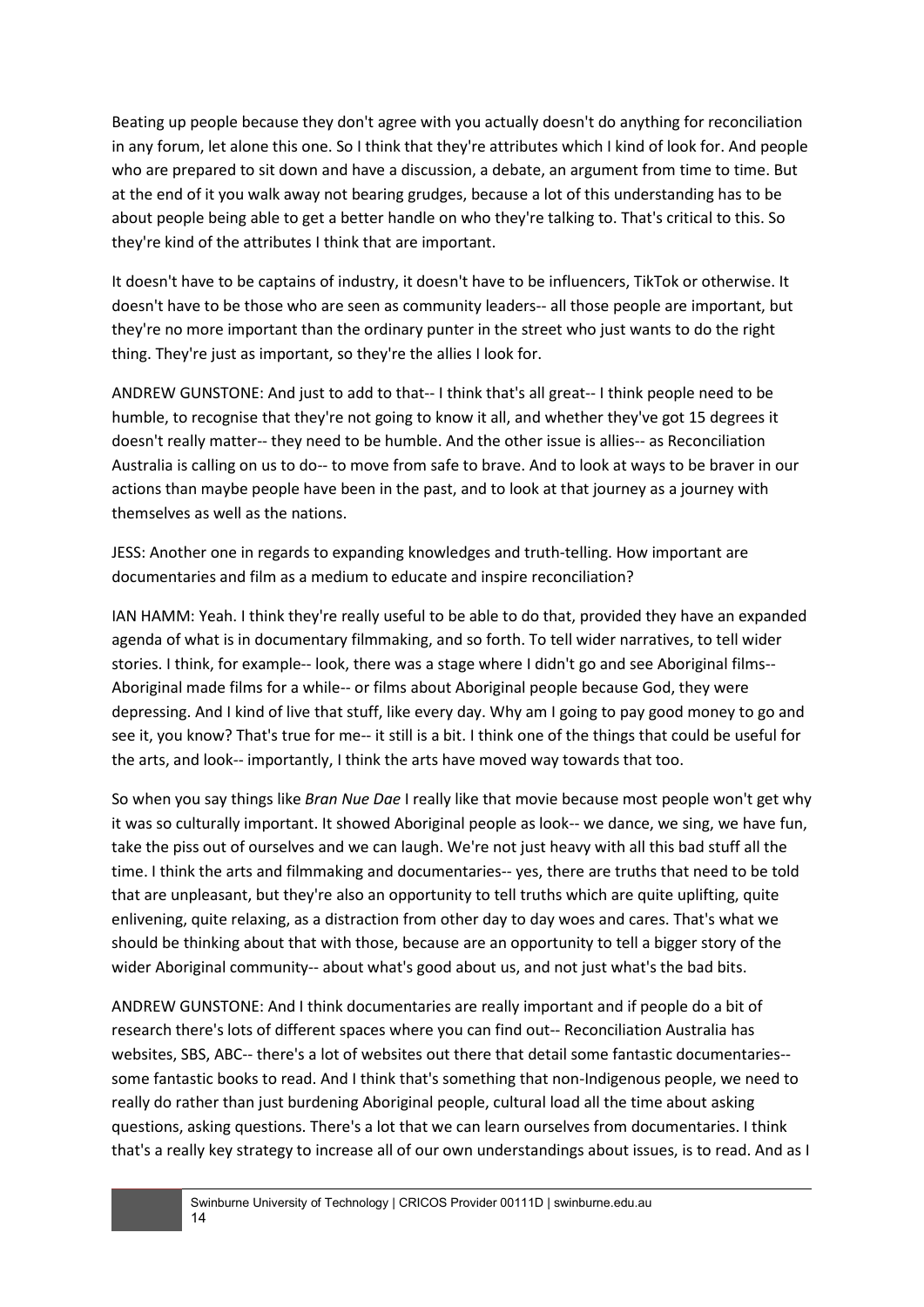Beating up people because they don't agree with you actually doesn't do anything for reconciliation in any forum, let alone this one. So I think that they're attributes which I kind of look for. And people who are prepared to sit down and have a discussion, a debate, an argument from time to time. But at the end of it you walk away not bearing grudges, because a lot of this understanding has to be about people being able to get a better handle on who they're talking to. That's critical to this. So they're kind of the attributes I think that are important.

It doesn't have to be captains of industry, it doesn't have to be influencers, TikTok or otherwise. It doesn't have to be those who are seen as community leaders-- all those people are important, but they're no more important than the ordinary punter in the street who just wants to do the right thing. They're just as important, so they're the allies I look for.

ANDREW GUNSTONE: And just to add to that-- I think that's all great-- I think people need to be humble, to recognise that they're not going to know it all, and whether they've got 15 degrees it doesn't really matter-- they need to be humble. And the other issue is allies-- as Reconciliation Australia is calling on us to do-- to move from safe to brave. And to look at ways to be braver in our actions than maybe people have been in the past, and to look at that journey as a journey with themselves as well as the nations.

JESS: Another one in regards to expanding knowledges and truth-telling. How important are documentaries and film as a medium to educate and inspire reconciliation?

IAN HAMM: Yeah. I think they're really useful to be able to do that, provided they have an expanded agenda of what is in documentary filmmaking, and so forth. To tell wider narratives, to tell wider stories. I think, for example-- look, there was a stage where I didn't go and see Aboriginal films-- Aboriginal made films for a while-- or films about Aboriginal people because God, they were depressing. And I kind of live that stuff, like every day. Why am I going to pay good money to go and see it, you know? That's true for me-- it still is a bit. I think one of the things that could be useful for the arts, and look-- importantly, I think the arts have moved way towards that too.

So when you say things like *Bran Nue Dae* I really like that movie because most people won't get why it was so culturally important. It showed Aboriginal people as look-- we dance, we sing, we have fun, take the piss out of ourselves and we can laugh. We're not just heavy with all this bad stuff all the time. I think the arts and filmmaking and documentaries-- yes, there are truths that need to be told that are unpleasant, but they're also an opportunity to tell truths which are quite uplifting, quite enlivening, quite relaxing, as a distraction from other day to day woes and cares. That's what we should be thinking about that with those, because are an opportunity to tell a bigger story of the wider Aboriginal community-- about what's good about us, and not just what's the bad bits.

ANDREW GUNSTONE: And I think documentaries are really important and if people do a bit of research there's lots of different spaces where you can find out-- Reconciliation Australia has websites, SBS, ABC-- there's a lot of websites out there that detail some fantastic documentaries- some fantastic books to read. And I think that's something that non-Indigenous people, we need to really do rather than just burdening Aboriginal people, cultural load all the time about asking questions, asking questions. There's a lot that we can learn ourselves from documentaries. I think that's a really key strategy to increase all of our own understandings about issues, is to read. And as I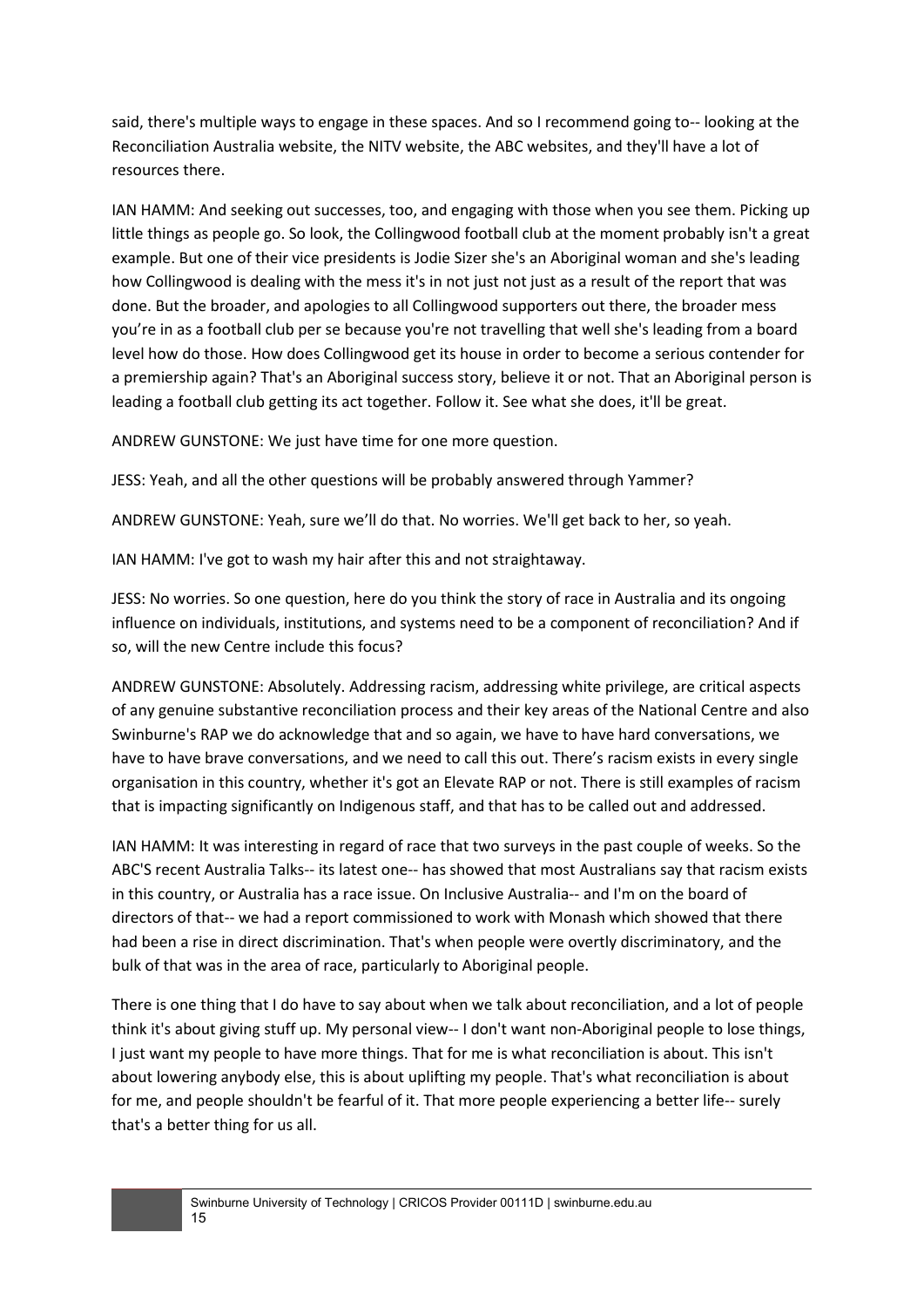said, there's multiple ways to engage in these spaces. And so I recommend going to-- looking at the Reconciliation Australia website, the NITV website, the ABC websites, and they'll have a lot of resources there.

IAN HAMM: And seeking out successes, too, and engaging with those when you see them. Picking up little things as people go. So look, the Collingwood football club at the moment probably isn't a great example. But one of their vice presidents is Jodie Sizer she's an Aboriginal woman and she's leading how Collingwood is dealing with the mess it's in not just not just as a result of the report that was done. But the broader, and apologies to all Collingwood supporters out there, the broader mess you're in as a football club per se because you're not travelling that well she's leading from a board level how do those. How does Collingwood get its house in order to become a serious contender for a premiership again? That's an Aboriginal success story, believe it or not. That an Aboriginal person is leading a football club getting its act together. Follow it. See what she does, it'll be great.

ANDREW GUNSTONE: We just have time for one more question.

JESS: Yeah, and all the other questions will be probably answered through Yammer?

ANDREW GUNSTONE: Yeah, sure we'll do that. No worries. We'll get back to her, so yeah.

IAN HAMM: I've got to wash my hair after this and not straightaway.

JESS: No worries. So one question, here do you think the story of race in Australia and its ongoing influence on individuals, institutions, and systems need to be a component of reconciliation? And if so, will the new Centre include this focus?

ANDREW GUNSTONE: Absolutely. Addressing racism, addressing white privilege, are critical aspects of any genuine substantive reconciliation process and their key areas of the National Centre and also Swinburne's RAP we do acknowledge that and so again, we have to have hard conversations, we have to have brave conversations, and we need to call this out. There's racism exists in every single organisation in this country, whether it's got an Elevate RAP or not. There is still examples of racism that is impacting significantly on Indigenous staff, and that has to be called out and addressed.

IAN HAMM: It was interesting in regard of race that two surveys in the past couple of weeks. So the ABC'S recent Australia Talks-- its latest one-- has showed that most Australians say that racism exists in this country, or Australia has a race issue. On Inclusive Australia-- and I'm on the board of directors of that-- we had a report commissioned to work with Monash which showed that there had been a rise in direct discrimination. That's when people were overtly discriminatory, and the bulk of that was in the area of race, particularly to Aboriginal people.

There is one thing that I do have to say about when we talk about reconciliation, and a lot of people think it's about giving stuff up. My personal view-- I don't want non-Aboriginal people to lose things, I just want my people to have more things. That for me is what reconciliation is about. This isn't about lowering anybody else, this is about uplifting my people. That's what reconciliation is about for me, and people shouldn't be fearful of it. That more people experiencing a better life-- surely that's a better thing for us all.